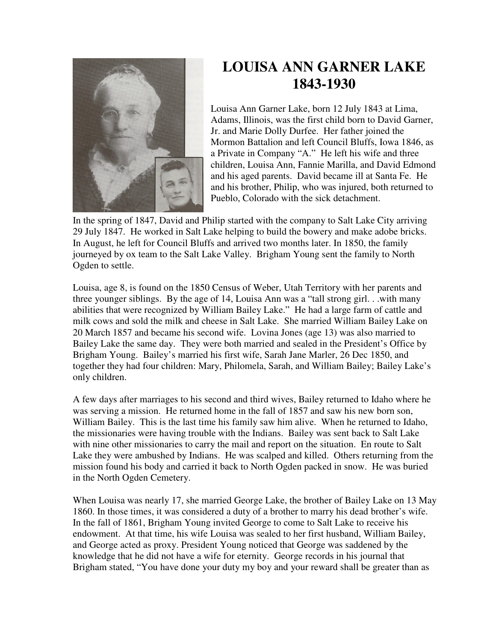

## **LOUISA ANN GARNER LAKE 1843-1930**

Louisa Ann Garner Lake, born 12 July 1843 at Lima, Adams, Illinois, was the first child born to David Garner, Jr. and Marie Dolly Durfee. Her father joined the Mormon Battalion and left Council Bluffs, Iowa 1846, as a Private in Company "A." He left his wife and three children, Louisa Ann, Fannie Marilla, and David Edmond and his aged parents. David became ill at Santa Fe. He and his brother, Philip, who was injured, both returned to Pueblo, Colorado with the sick detachment.

In the spring of 1847, David and Philip started with the company to Salt Lake City arriving 29 July 1847. He worked in Salt Lake helping to build the bowery and make adobe bricks. In August, he left for Council Bluffs and arrived two months later. In 1850, the family journeyed by ox team to the Salt Lake Valley. Brigham Young sent the family to North Ogden to settle.

Louisa, age 8, is found on the 1850 Census of Weber, Utah Territory with her parents and three younger siblings. By the age of 14, Louisa Ann was a "tall strong girl. . .with many abilities that were recognized by William Bailey Lake." He had a large farm of cattle and milk cows and sold the milk and cheese in Salt Lake. She married William Bailey Lake on 20 March 1857 and became his second wife. Lovina Jones (age 13) was also married to Bailey Lake the same day. They were both married and sealed in the President's Office by Brigham Young. Bailey's married his first wife, Sarah Jane Marler, 26 Dec 1850, and together they had four children: Mary, Philomela, Sarah, and William Bailey; Bailey Lake's only children.

A few days after marriages to his second and third wives, Bailey returned to Idaho where he was serving a mission. He returned home in the fall of 1857 and saw his new born son, William Bailey. This is the last time his family saw him alive. When he returned to Idaho, the missionaries were having trouble with the Indians. Bailey was sent back to Salt Lake with nine other missionaries to carry the mail and report on the situation. En route to Salt Lake they were ambushed by Indians. He was scalped and killed. Others returning from the mission found his body and carried it back to North Ogden packed in snow. He was buried in the North Ogden Cemetery.

When Louisa was nearly 17, she married George Lake, the brother of Bailey Lake on 13 May 1860. In those times, it was considered a duty of a brother to marry his dead brother's wife. In the fall of 1861, Brigham Young invited George to come to Salt Lake to receive his endowment. At that time, his wife Louisa was sealed to her first husband, William Bailey, and George acted as proxy. President Young noticed that George was saddened by the knowledge that he did not have a wife for eternity. George records in his journal that Brigham stated, "You have done your duty my boy and your reward shall be greater than as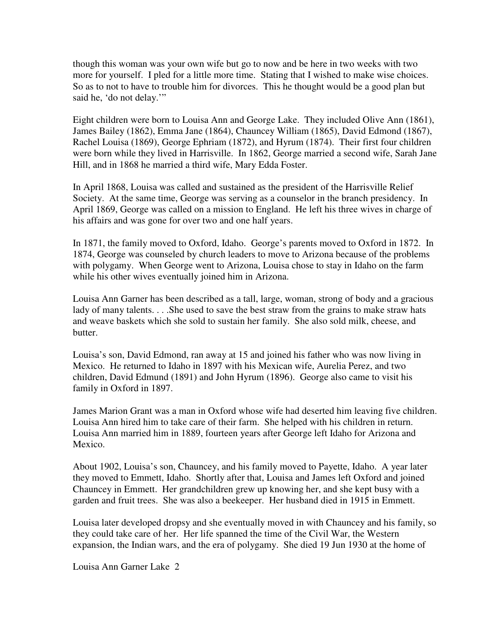though this woman was your own wife but go to now and be here in two weeks with two more for yourself. I pled for a little more time. Stating that I wished to make wise choices. So as to not to have to trouble him for divorces. This he thought would be a good plan but said he, 'do not delay.'"

Eight children were born to Louisa Ann and George Lake. They included Olive Ann (1861), James Bailey (1862), Emma Jane (1864), Chauncey William (1865), David Edmond (1867), Rachel Louisa (1869), George Ephriam (1872), and Hyrum (1874). Their first four children were born while they lived in Harrisville. In 1862, George married a second wife, Sarah Jane Hill, and in 1868 he married a third wife, Mary Edda Foster.

In April 1868, Louisa was called and sustained as the president of the Harrisville Relief Society. At the same time, George was serving as a counselor in the branch presidency. In April 1869, George was called on a mission to England. He left his three wives in charge of his affairs and was gone for over two and one half years.

In 1871, the family moved to Oxford, Idaho. George's parents moved to Oxford in 1872. In 1874, George was counseled by church leaders to move to Arizona because of the problems with polygamy. When George went to Arizona, Louisa chose to stay in Idaho on the farm while his other wives eventually joined him in Arizona.

Louisa Ann Garner has been described as a tall, large, woman, strong of body and a gracious lady of many talents. . . .She used to save the best straw from the grains to make straw hats and weave baskets which she sold to sustain her family. She also sold milk, cheese, and butter.

Louisa's son, David Edmond, ran away at 15 and joined his father who was now living in Mexico. He returned to Idaho in 1897 with his Mexican wife, Aurelia Perez, and two children, David Edmund (1891) and John Hyrum (1896). George also came to visit his family in Oxford in 1897.

James Marion Grant was a man in Oxford whose wife had deserted him leaving five children. Louisa Ann hired him to take care of their farm. She helped with his children in return. Louisa Ann married him in 1889, fourteen years after George left Idaho for Arizona and Mexico.

About 1902, Louisa's son, Chauncey, and his family moved to Payette, Idaho. A year later they moved to Emmett, Idaho. Shortly after that, Louisa and James left Oxford and joined Chauncey in Emmett. Her grandchildren grew up knowing her, and she kept busy with a garden and fruit trees. She was also a beekeeper. Her husband died in 1915 in Emmett.

Louisa later developed dropsy and she eventually moved in with Chauncey and his family, so they could take care of her. Her life spanned the time of the Civil War, the Western expansion, the Indian wars, and the era of polygamy. She died 19 Jun 1930 at the home of

Louisa Ann Garner Lake 2